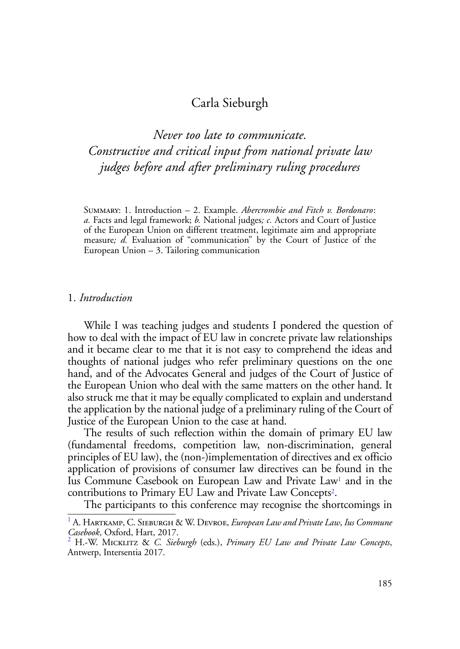# Carla Sieburgh

*Never too late to communicate. Constructive and critical input from national private law judges before and after preliminary ruling procedures*

Summary: 1. Introduction – 2. Example. *Abercrombie and Fitch v. Bordonaro*: *a.* Facts and legal framework; *b.* National judges*; c.* Actors and Court of Justice of the European Union on different treatment, legitimate aim and appropriate measure*; d.* Evaluation of "communication" by the Court of Justice of the European Union – 3. Tailoring communication

### 1. *Introduction*

While I was teaching judges and students I pondered the question of how to deal with the impact of EU law in concrete private law relationships and it became clear to me that it is not easy to comprehend the ideas and thoughts of national judges who refer preliminary questions on the one hand, and of the Advocates General and judges of the Court of Justice of the European Union who deal with the same matters on the other hand. It also struck me that it may be equally complicated to explain and understand the application by the national judge of a preliminary ruling of the Court of Justice of the European Union to the case at hand.

The results of such reflection within the domain of primary EU law (fundamental freedoms, competition law, non-discrimination, general principles of EU law), the (non-)implementation of directives and ex officio application of provisions of consumer law directives can be found in the Ius Commune Casebook on European Law and Private Law<sup>1</sup> and in the contributions to Primary EU Law and Private Law Concepts2.

The participants to this conference may recognise the shortcomings in

<sup>1</sup> A. Hartkamp, C. Sieburgh & W. Devroe, *European Law and Private Law*, *Ius Commune Casebook*, Oxford, Hart, 2017.

H.-W. Micklitz & *C. Sieburgh* (eds.), *Primary EU Law and Private Law Concepts*, Antwerp, Intersentia 2017.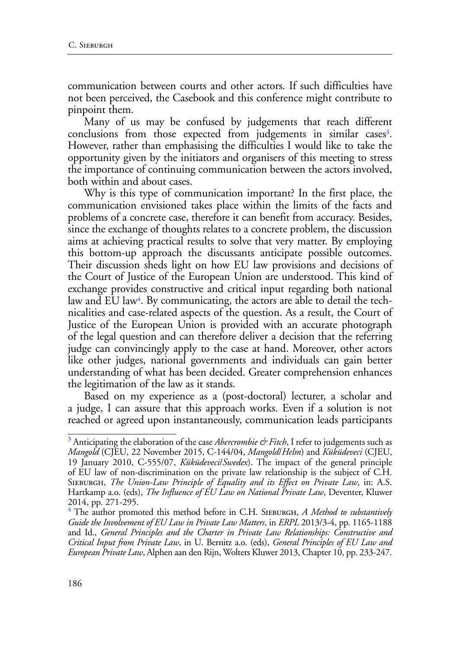communication between courts and other actors. If such difficulties have not been perceived, the Casebook and this conference might contribute to pinpoint them.

Many of us may be confused by judgements that reach different conclusions from those expected from judgements in similar cases<sup>3</sup>. However, rather than emphasising the difficulties I would like to take the opportunity given by the initiators and organisers of this meeting to stress the importance of continuing communication between the actors involved, both within and about cases.

Why is this type of communication important? In the first place, the communication envisioned takes place within the limits of the facts and problems of a concrete case, therefore it can benefit from accuracy. Besides, since the exchange of thoughts relates to a concrete problem, the discussion aims at achieving practical results to solve that very matter. By employing this bottom-up approach the discussants anticipate possible outcomes. Their discussion sheds light on how EU law provisions and decisions of the Court of Justice of the European Union are understood. This kind of exchange provides constructive and critical input regarding both national law and EU law<sup>4</sup>. By communicating, the actors are able to detail the technicalities and case-related aspects of the question. As a result, the Court of Justice of the European Union is provided with an accurate photograph of the legal question and can therefore deliver a decision that the referring judge can convincingly apply to the case at hand. Moreover, other actors like other judges, national governments and individuals can gain better understanding of what has been decided. Greater comprehension enhances the legitimation of the law as it stands.

Based on my experience as a (post-doctoral) lecturer, a scholar and a judge, I can assure that this approach works. Even if a solution is not reached or agreed upon instantaneously, communication leads participants

 $^3$  Anticipating the elaboration of the case *Abercrombie & Fitch*, I refer to judgements such as *Mangold* (CJEU, 22 November 2015, C-144/04, *Mangold*/*Helm*) and *Küküdeveci* (CJEU, 19 January 2010, C-555/07, *Küküdeveci*/*Swedex*). The impact of the general principle of EU law of non-discrimination on the private law relationship is the subject of C.H. Sieburgh, *The Union-Law Principle of Equality and its Effect on Private Law*, in: A.S. Hartkamp a.o. (eds), *The Influence of EU Law on National Private Law*, Deventer, Kluwer 2014, pp. 271-295.

<sup>&</sup>lt;sup>4</sup> The author promoted this method before in C.H. SIEBURGH, *A Method to substantively Guide the Involvement of EU Law in Private Law Matters*, in *ERPL* 2013/3-4, pp. 1165-1188 and Id., *General Principles and the Charter in Private Law Relationships: Constructive and Critical Input from Private Law*, in U. Bernitz a.o. (eds), *General Principles of EU Law and European Private Law*, Alphen aan den Rijn, Wolters Kluwer 2013, Chapter 10, pp. 233-247.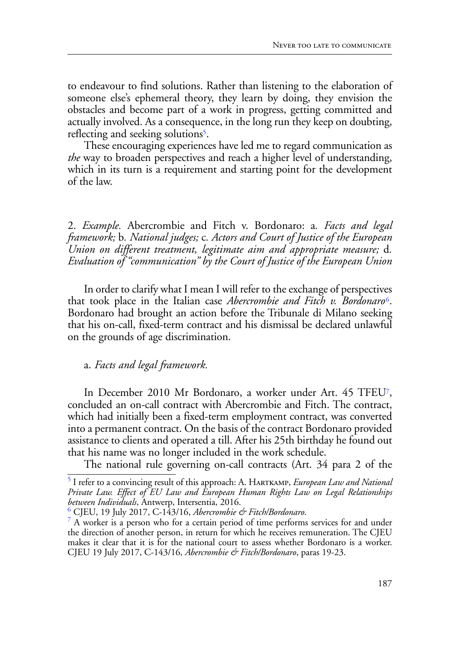to endeavour to find solutions. Rather than listening to the elaboration of someone else's ephemeral theory, they learn by doing, they envision the obstacles and become part of a work in progress, getting committed and actually involved. As a consequence, in the long run they keep on doubting, reflecting and seeking solutions<sup>5</sup>.

These encouraging experiences have led me to regard communication as *the* way to broaden perspectives and reach a higher level of understanding, which in its turn is a requirement and starting point for the development of the law.

2. *Example.* Abercrombie and Fitch v. Bordonaro: a*. Facts and legal framework;* b*. National judges;* c*. Actors and Court of Justice of the European Union on different treatment, legitimate aim and appropriate measure;* d*. Evaluation of "communication" by the Court of Justice of the European Union*

In order to clarify what I mean I will refer to the exchange of perspectives that took place in the Italian case *Abercrombie and Fitch v. Bordonaro*6. Bordonaro had brought an action before the Tribunale di Milano seeking that his on-call, fixed-term contract and his dismissal be declared unlawful on the grounds of age discrimination.

# a. *Facts and legal framework.*

In December 2010 Mr Bordonaro, a worker under Art. 45 TFEU7, concluded an on-call contract with Abercrombie and Fitch. The contract, which had initially been a fixed-term employment contract, was converted into a permanent contract. On the basis of the contract Bordonaro provided assistance to clients and operated a till. After his 25th birthday he found out that his name was no longer included in the work schedule.

The national rule governing on-call contracts (Art. 34 para 2 of the

<sup>5</sup> I refer to a convincing result of this approach: A. Hartkamp, *European Law and National Private Law. Effect of EU Law and European Human Rights Law on Legal Relationships between Individuals*, Antwerp, Intersentia, 2016.

CJEU, 19 July 2017, C-143/16, *Abercrombie & Fitch/Bordonaro*. <sup>7</sup>

A worker is a person who for a certain period of time performs services for and under the direction of another person, in return for which he receives remuneration. The CJEU makes it clear that it is for the national court to assess whether Bordonaro is a worker. CJEU 19 July 2017, C-143/16, *Abercrombie & Fitch/Bordonaro*, paras 19-23.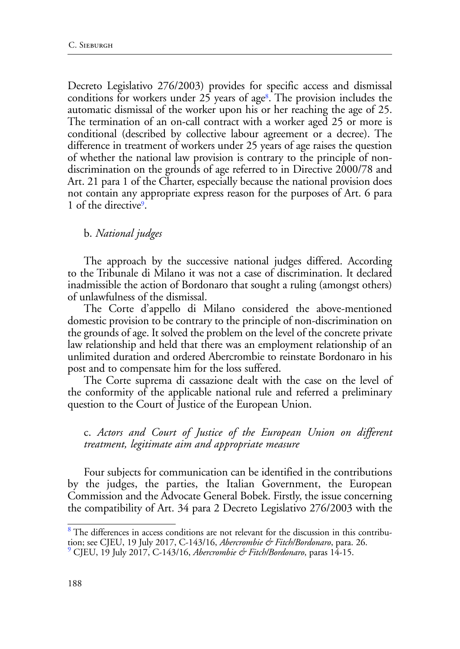Decreto Legislativo 276/2003) provides for specific access and dismissal conditions for workers under 25 years of age<sup>8</sup>. The provision includes the automatic dismissal of the worker upon his or her reaching the age of 25. The termination of an on-call contract with a worker aged 25 or more is conditional (described by collective labour agreement or a decree). The difference in treatment of workers under 25 years of age raises the question of whether the national law provision is contrary to the principle of nondiscrimination on the grounds of age referred to in Directive 2000/78 and Art. 21 para 1 of the Charter, especially because the national provision does not contain any appropriate express reason for the purposes of Art. 6 para 1 of the directive9.

#### b. *National judges*

The approach by the successive national judges differed. According to the Tribunale di Milano it was not a case of discrimination. It declared inadmissible the action of Bordonaro that sought a ruling (amongst others) of unlawfulness of the dismissal.

The Corte d'appello di Milano considered the above-mentioned domestic provision to be contrary to the principle of non-discrimination on the grounds of age. It solved the problem on the level of the concrete private law relationship and held that there was an employment relationship of an unlimited duration and ordered Abercrombie to reinstate Bordonaro in his post and to compensate him for the loss suffered.

The Corte suprema di cassazione dealt with the case on the level of the conformity of the applicable national rule and referred a preliminary question to the Court of Justice of the European Union.

c. *Actors and Court of Justice of the European Union on different treatment, legitimate aim and appropriate measure*

Four subjects for communication can be identified in the contributions by the judges, the parties, the Italian Government, the European Commission and the Advocate General Bobek. Firstly, the issue concerning the compatibility of Art. 34 para 2 Decreto Legislativo 276/2003 with the

<sup>&</sup>lt;sup>8</sup> The differences in access conditions are not relevant for the discussion in this contribution; see CJEU, 19 July 2017, C-143/16, *Abercrombie & Fitch/Bordonaro*, para. 26. 9

CJEU, 19 July 2017, C-143/16, *Abercrombie & Fitch/Bordonaro*, paras 14-15.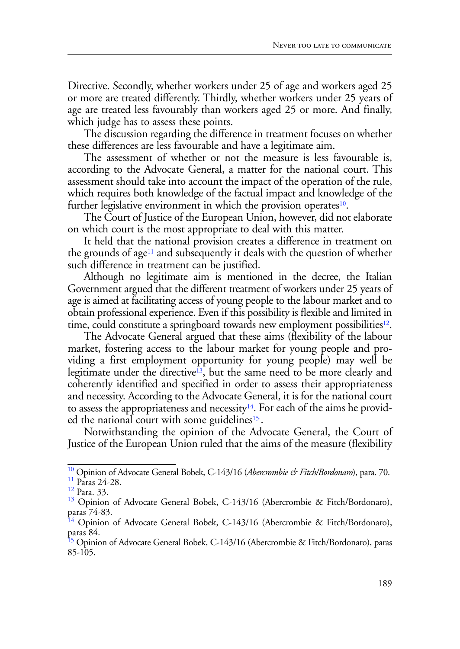Directive. Secondly, whether workers under 25 of age and workers aged 25 or more are treated differently. Thirdly, whether workers under 25 years of age are treated less favourably than workers aged 25 or more. And finally, which judge has to assess these points.

The discussion regarding the difference in treatment focuses on whether these differences are less favourable and have a legitimate aim.

The assessment of whether or not the measure is less favourable is, according to the Advocate General, a matter for the national court. This assessment should take into account the impact of the operation of the rule, which requires both knowledge of the factual impact and knowledge of the further legislative environment in which the provision operates<sup>10</sup>.

The Court of Justice of the European Union, however, did not elaborate on which court is the most appropriate to deal with this matter.

It held that the national provision creates a difference in treatment on the grounds of age<sup>11</sup> and subsequently it deals with the question of whether such difference in treatment can be justified.

Although no legitimate aim is mentioned in the decree, the Italian Government argued that the different treatment of workers under 25 years of age is aimed at facilitating access of young people to the labour market and to obtain professional experience. Even if this possibility is flexible and limited in time, could constitute a springboard towards new employment possibilities<sup>12</sup>.

The Advocate General argued that these aims (flexibility of the labour market, fostering access to the labour market for young people and providing a first employment opportunity for young people) may well be legitimate under the directive<sup>13</sup>, but the same need to be more clearly and coherently identified and specified in order to assess their appropriateness and necessity. According to the Advocate General, it is for the national court to assess the appropriateness and necessity<sup>14</sup>. For each of the aims he provided the national court with some guidelines<sup>15</sup>.

Notwithstanding the opinion of the Advocate General, the Court of Justice of the European Union ruled that the aims of the measure (flexibility

<sup>&</sup>lt;sup>10</sup> Opinion of Advocate General Bobek, C-143/16 (*Abercrombie & Fitch/Bordonaro*), para. 70.<br><sup>11</sup> Paras 24-28.<br><sup>12</sup> Para. 33.

<sup>&</sup>lt;sup>13</sup> Opinion of Advocate General Bobek, C-143/16 (Abercrombie & Fitch/Bordonaro), paras 74-83.

<sup>&</sup>lt;sup>14</sup> Opinion of Advocate General Bobek, C-143/16 (Abercrombie & Fitch/Bordonaro), paras 84.

<sup>&</sup>lt;sup>15</sup> Opinion of Advocate General Bobek, C-143/16 (Abercrombie & Fitch/Bordonaro), paras 85-105.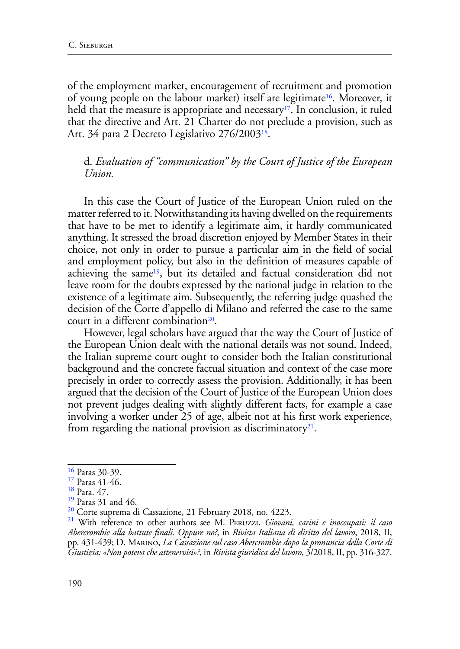of the employment market, encouragement of recruitment and promotion of young people on the labour market) itself are legitimate<sup>16</sup>. Moreover, it held that the measure is appropriate and necessary<sup>17</sup>. In conclusion, it ruled that the directive and Art. 21 Charter do not preclude a provision, such as Art. 34 para 2 Decreto Legislativo 276/2003<sup>18</sup>.

## d. *Evaluation of "communication" by the Court of Justice of the European Union.*

In this case the Court of Justice of the European Union ruled on the matter referred to it. Notwithstanding its having dwelled on the requirements that have to be met to identify a legitimate aim, it hardly communicated anything. It stressed the broad discretion enjoyed by Member States in their choice, not only in order to pursue a particular aim in the field of social and employment policy, but also in the definition of measures capable of achieving the same<sup>19</sup>, but its detailed and factual consideration did not leave room for the doubts expressed by the national judge in relation to the existence of a legitimate aim. Subsequently, the referring judge quashed the decision of the Corte d'appello di Milano and referred the case to the same court in a different combination<sup>20</sup>.

However, legal scholars have argued that the way the Court of Justice of the European Union dealt with the national details was not sound. Indeed, the Italian supreme court ought to consider both the Italian constitutional background and the concrete factual situation and context of the case more precisely in order to correctly assess the provision. Additionally, it has been argued that the decision of the Court of Justice of the European Union does not prevent judges dealing with slightly different facts, for example a case involving a worker under 25 of age, albeit not at his first work experience, from regarding the national provision as discriminatory<sup>21</sup>.

<sup>16</sup> Paras 30-39.

<sup>17</sup> Paras 41-46.

<sup>18</sup> Para. 47.

<sup>&</sup>lt;sup>19</sup> Paras 31 and 46.<br><sup>20</sup> Corte suprema di Cassazione, 21 February 2018, no. 4223.

<sup>&</sup>lt;sup>21</sup> With reference to other authors see M. Percuzzi, *Giovani, carini e inoccupati: il caso Abercrombie alla battute finali. Oppure no?*, in *Rivista Italiana di diritto del lavoro*, 2018, II, pp. 431-439; D. Marino, *La Cassazione sul caso Abercrombie dopo la pronuncia della Corte di Giustizia: «Non poteva che attenervisi»?*, in *Rivista giuridica del lavoro*, 3/2018, II, pp. 316-327.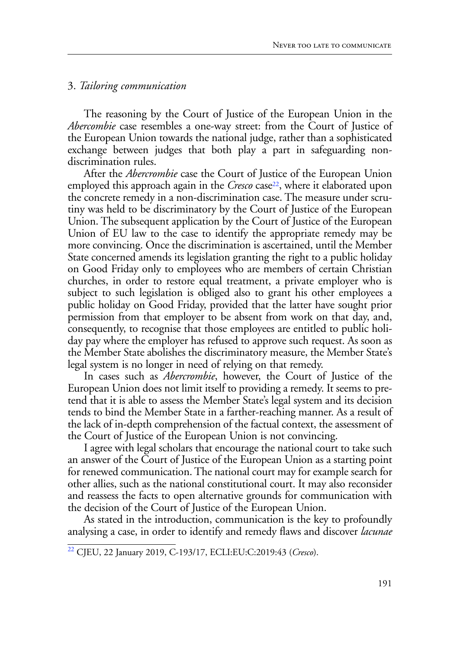### 3. *Tailoring communication*

The reasoning by the Court of Justice of the European Union in the *Abercombie* case resembles a one-way street: from the Court of Justice of the European Union towards the national judge, rather than a sophisticated exchange between judges that both play a part in safeguarding nondiscrimination rules.

After the *Abercrombie* case the Court of Justice of the European Union employed this approach again in the *Cresco* case<sup>22</sup>, where it elaborated upon the concrete remedy in a non-discrimination case. The measure under scrutiny was held to be discriminatory by the Court of Justice of the European Union. The subsequent application by the Court of Justice of the European Union of EU law to the case to identify the appropriate remedy may be more convincing. Once the discrimination is ascertained, until the Member State concerned amends its legislation granting the right to a public holiday on Good Friday only to employees who are members of certain Christian churches, in order to restore equal treatment, a private employer who is subject to such legislation is obliged also to grant his other employees a public holiday on Good Friday, provided that the latter have sought prior permission from that employer to be absent from work on that day, and, consequently, to recognise that those employees are entitled to public holiday pay where the employer has refused to approve such request. As soon as the Member State abolishes the discriminatory measure, the Member State's legal system is no longer in need of relying on that remedy.

In cases such as *Abercrombie*, however, the Court of Justice of the European Union does not limit itself to providing a remedy. It seems to pretend that it is able to assess the Member State's legal system and its decision tends to bind the Member State in a farther-reaching manner. As a result of the lack of in-depth comprehension of the factual context, the assessment of the Court of Justice of the European Union is not convincing.

I agree with legal scholars that encourage the national court to take such an answer of the Court of Justice of the European Union as a starting point for renewed communication. The national court may for example search for other allies, such as the national constitutional court. It may also reconsider and reassess the facts to open alternative grounds for communication with the decision of the Court of Justice of the European Union.

As stated in the introduction, communication is the key to profoundly analysing a case, in order to identify and remedy flaws and discover *lacunae*

<sup>22</sup> CJEU, 22 January 2019, C-193/17, ECLI:EU:C:2019:43 (*Cresco*).